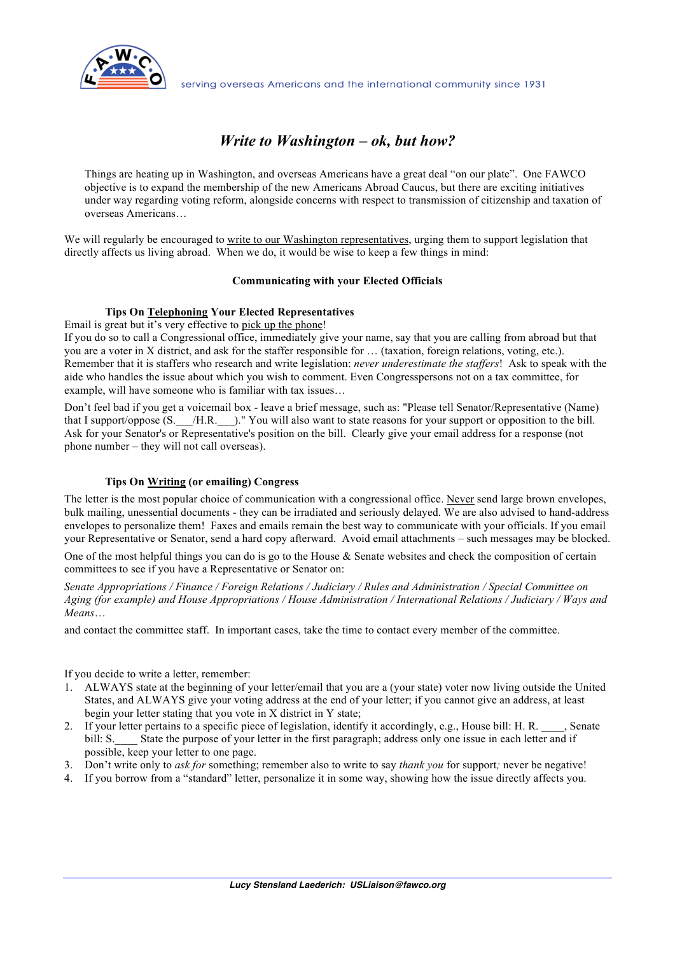

serving overseas Americans and the international community since 1931

# *Write to Washington – ok, but how?*

Things are heating up in Washington, and overseas Americans have a great deal "on our plate". One FAWCO objective is to expand the membership of the new Americans Abroad Caucus, but there are exciting initiatives under way regarding voting reform, alongside concerns with respect to transmission of citizenship and taxation of overseas Americans…

We will regularly be encouraged to write to our Washington representatives, urging them to support legislation that directly affects us living abroad. When we do, it would be wise to keep a few things in mind:

#### **Communicating with your Elected Officials**

#### **Tips On Telephoning Your Elected Representatives**

Email is great but it's very effective to pick up the phone!

If you do so to call a Congressional office, immediately give your name, say that you are calling from abroad but that you are a voter in X district, and ask for the staffer responsible for … (taxation, foreign relations, voting, etc.). Remember that it is staffers who research and write legislation: *never underestimate the staffers*! Ask to speak with the aide who handles the issue about which you wish to comment. Even Congresspersons not on a tax committee, for example, will have someone who is familiar with tax issues…

Don't feel bad if you get a voicemail box - leave a brief message, such as: "Please tell Senator/Representative (Name) that I support/oppose (S.\_\_\_/H.R.\_\_\_)." You will also want to state reasons for your support or opposition to the bill. Ask for your Senator's or Representative's position on the bill. Clearly give your email address for a response (not phone number – they will not call overseas).

### **Tips On Writing (or emailing) Congress**

The letter is the most popular choice of communication with a congressional office. Never send large brown envelopes, bulk mailing, unessential documents - they can be irradiated and seriously delayed. We are also advised to hand-address envelopes to personalize them! Faxes and emails remain the best way to communicate with your officials. If you email your Representative or Senator, send a hard copy afterward. Avoid email attachments – such messages may be blocked.

One of the most helpful things you can do is go to the House & Senate websites and check the composition of certain committees to see if you have a Representative or Senator on:

*Senate Appropriations / Finance / Foreign Relations / Judiciary / Rules and Administration / Special Committee on Aging (for example) and House Appropriations / House Administration / International Relations / Judiciary / Ways and Means*…

and contact the committee staff. In important cases, take the time to contact every member of the committee.

If you decide to write a letter, remember:

- 1. ALWAYS state at the beginning of your letter/email that you are a (your state) voter now living outside the United States, and ALWAYS give your voting address at the end of your letter; if you cannot give an address, at least begin your letter stating that you vote in X district in Y state;
- 2. If your letter pertains to a specific piece of legislation, identify it accordingly, e.g., House bill: H. R. \_\_\_\_, Senate bill: S. State the purpose of your letter in the first paragraph; address only one issue in each letter and if possible, keep your letter to one page.
- 3. Don't write only to *ask for* something; remember also to write to say *thank you* for support*;* never be negative!
- 4. If you borrow from a "standard" letter, personalize it in some way, showing how the issue directly affects you.